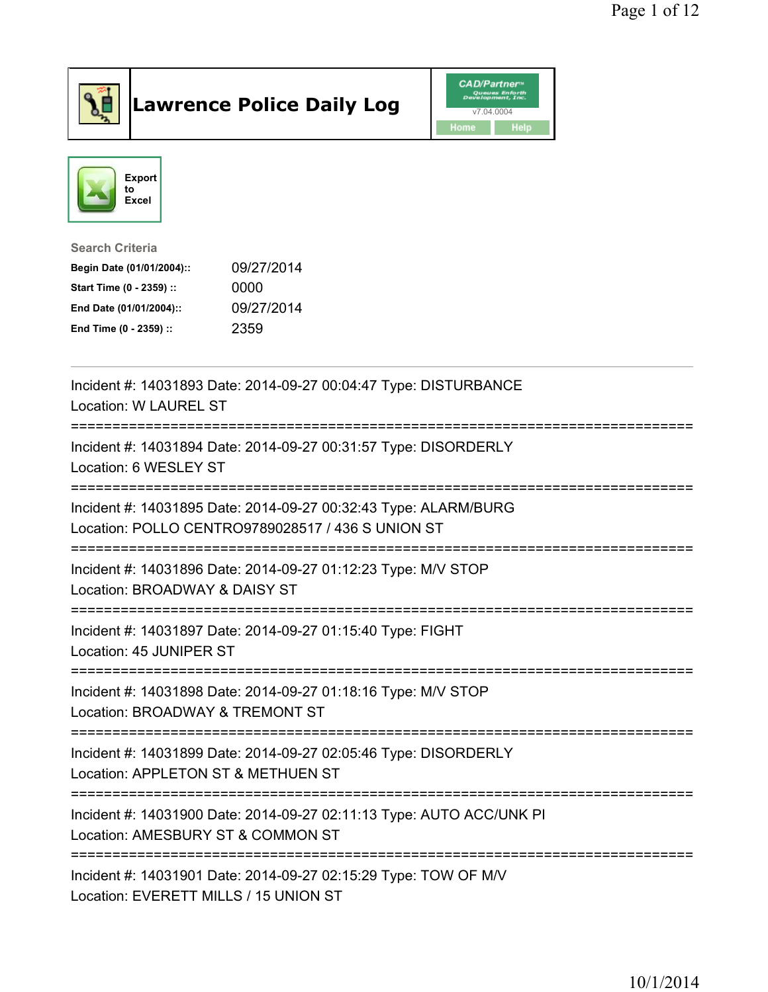

## Lawrence Police Daily Log Value of the CAD/Partner





Search Criteria

| Begin Date (01/01/2004):: | 09/27/2014 |
|---------------------------|------------|
| Start Time (0 - 2359) ::  | 0000       |
| End Date (01/01/2004)::   | 09/27/2014 |
| End Time (0 - 2359) ::    | 2359       |

| Incident #: 14031893 Date: 2014-09-27 00:04:47 Type: DISTURBANCE<br>Location: W LAUREL ST                                          |
|------------------------------------------------------------------------------------------------------------------------------------|
| Incident #: 14031894 Date: 2014-09-27 00:31:57 Type: DISORDERLY<br>Location: 6 WESLEY ST                                           |
| Incident #: 14031895 Date: 2014-09-27 00:32:43 Type: ALARM/BURG<br>Location: POLLO CENTRO9789028517 / 436 S UNION ST               |
| Incident #: 14031896 Date: 2014-09-27 01:12:23 Type: M/V STOP<br>Location: BROADWAY & DAISY ST                                     |
| Incident #: 14031897 Date: 2014-09-27 01:15:40 Type: FIGHT<br>Location: 45 JUNIPER ST                                              |
| Incident #: 14031898 Date: 2014-09-27 01:18:16 Type: M/V STOP<br>Location: BROADWAY & TREMONT ST                                   |
| Incident #: 14031899 Date: 2014-09-27 02:05:46 Type: DISORDERLY<br>Location: APPLETON ST & METHUEN ST<br>========================= |
| Incident #: 14031900 Date: 2014-09-27 02:11:13 Type: AUTO ACC/UNK PI<br>Location: AMESBURY ST & COMMON ST                          |
| Incident #: 14031901 Date: 2014-09-27 02:15:29 Type: TOW OF M/V<br>Location: EVERETT MILLS / 15 UNION ST                           |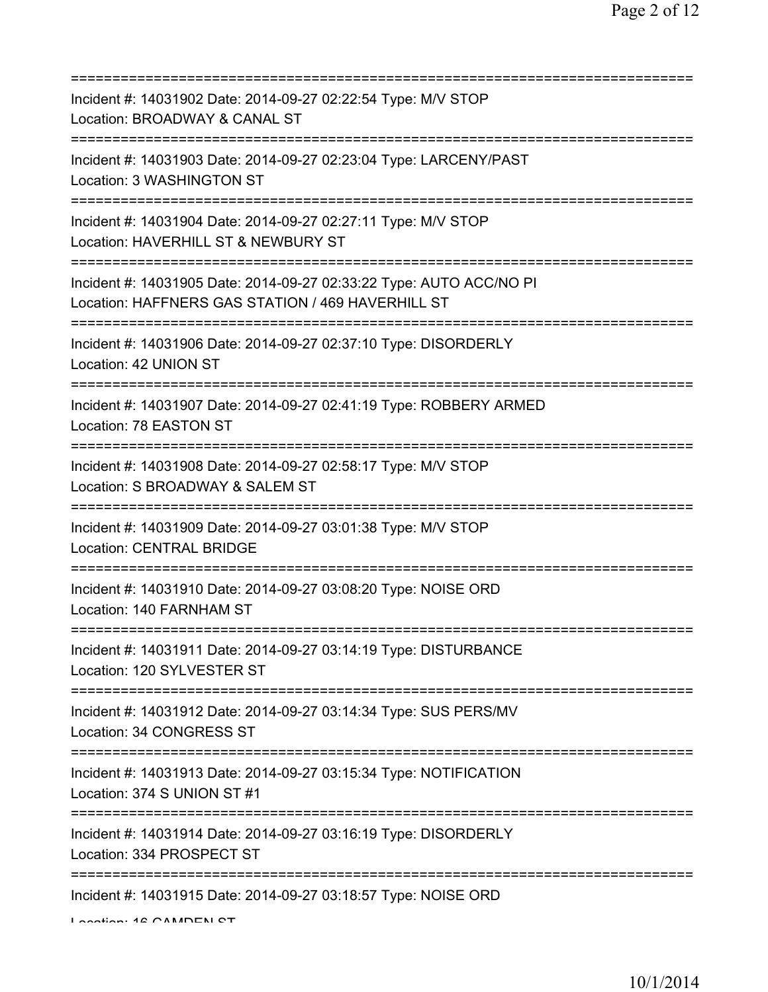| Incident #: 14031902 Date: 2014-09-27 02:22:54 Type: M/V STOP<br>Location: BROADWAY & CANAL ST                                                             |
|------------------------------------------------------------------------------------------------------------------------------------------------------------|
| Incident #: 14031903 Date: 2014-09-27 02:23:04 Type: LARCENY/PAST<br>Location: 3 WASHINGTON ST                                                             |
| Incident #: 14031904 Date: 2014-09-27 02:27:11 Type: M/V STOP<br>Location: HAVERHILL ST & NEWBURY ST                                                       |
| :=============================<br>Incident #: 14031905 Date: 2014-09-27 02:33:22 Type: AUTO ACC/NO PI<br>Location: HAFFNERS GAS STATION / 469 HAVERHILL ST |
| Incident #: 14031906 Date: 2014-09-27 02:37:10 Type: DISORDERLY<br>Location: 42 UNION ST                                                                   |
| Incident #: 14031907 Date: 2014-09-27 02:41:19 Type: ROBBERY ARMED<br>Location: 78 EASTON ST                                                               |
| Incident #: 14031908 Date: 2014-09-27 02:58:17 Type: M/V STOP<br>Location: S BROADWAY & SALEM ST                                                           |
| :================================<br>Incident #: 14031909 Date: 2014-09-27 03:01:38 Type: M/V STOP<br><b>Location: CENTRAL BRIDGE</b>                      |
| Incident #: 14031910 Date: 2014-09-27 03:08:20 Type: NOISE ORD<br>Location: 140 FARNHAM ST                                                                 |
| Incident #: 14031911 Date: 2014-09-27 03:14:19 Type: DISTURBANCE<br>Location: 120 SYLVESTER ST                                                             |
| Incident #: 14031912 Date: 2014-09-27 03:14:34 Type: SUS PERS/MV<br>Location: 34 CONGRESS ST                                                               |
| Incident #: 14031913 Date: 2014-09-27 03:15:34 Type: NOTIFICATION<br>Location: 374 S UNION ST #1                                                           |
| Incident #: 14031914 Date: 2014-09-27 03:16:19 Type: DISORDERLY<br>Location: 334 PROSPECT ST                                                               |
| Incident #: 14031915 Date: 2014-09-27 03:18:57 Type: NOISE ORD<br>Lootion: 40 CAMDEN CT                                                                    |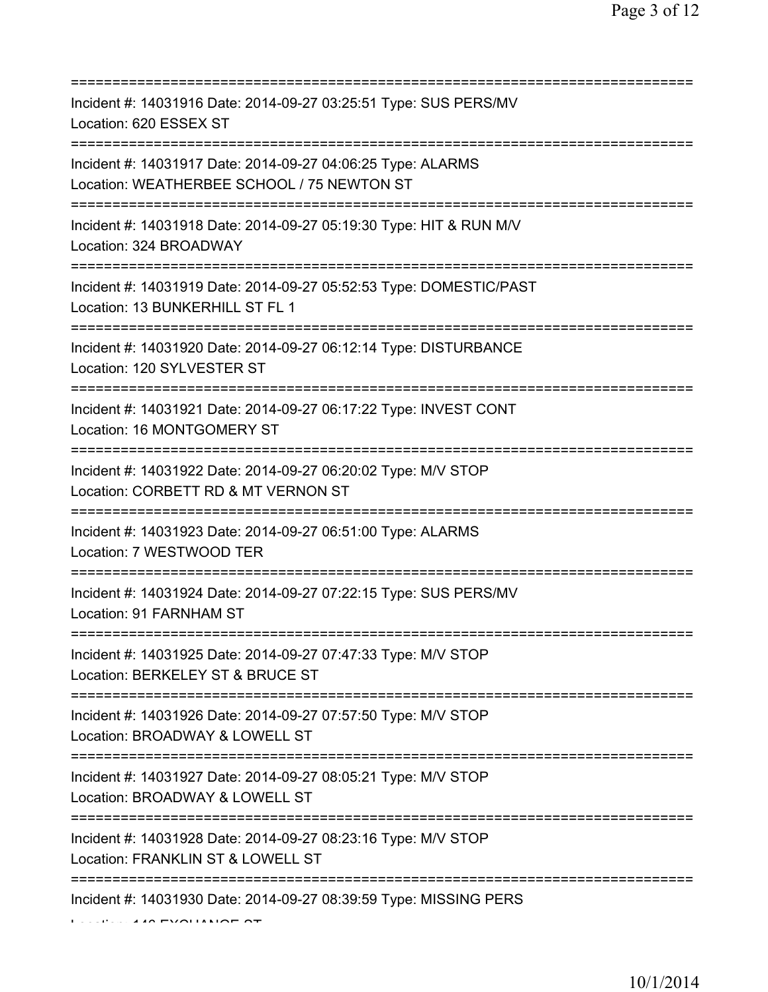| Incident #: 14031916 Date: 2014-09-27 03:25:51 Type: SUS PERS/MV<br>Location: 620 ESSEX ST                                             |
|----------------------------------------------------------------------------------------------------------------------------------------|
| Incident #: 14031917 Date: 2014-09-27 04:06:25 Type: ALARMS<br>Location: WEATHERBEE SCHOOL / 75 NEWTON ST                              |
| Incident #: 14031918 Date: 2014-09-27 05:19:30 Type: HIT & RUN M/V<br>Location: 324 BROADWAY                                           |
| Incident #: 14031919 Date: 2014-09-27 05:52:53 Type: DOMESTIC/PAST<br>Location: 13 BUNKERHILL ST FL 1                                  |
| Incident #: 14031920 Date: 2014-09-27 06:12:14 Type: DISTURBANCE<br>Location: 120 SYLVESTER ST<br>==================================== |
| Incident #: 14031921 Date: 2014-09-27 06:17:22 Type: INVEST CONT<br>Location: 16 MONTGOMERY ST<br>==================================== |
| Incident #: 14031922 Date: 2014-09-27 06:20:02 Type: M/V STOP<br>Location: CORBETT RD & MT VERNON ST                                   |
| Incident #: 14031923 Date: 2014-09-27 06:51:00 Type: ALARMS<br>Location: 7 WESTWOOD TER                                                |
| Incident #: 14031924 Date: 2014-09-27 07:22:15 Type: SUS PERS/MV<br>Location: 91 FARNHAM ST                                            |
| Incident #: 14031925 Date: 2014-09-27 07:47:33 Type: M/V STOP<br>Location: BERKELEY ST & BRUCE ST                                      |
| Incident #: 14031926 Date: 2014-09-27 07:57:50 Type: M/V STOP<br>Location: BROADWAY & LOWELL ST                                        |
| Incident #: 14031927 Date: 2014-09-27 08:05:21 Type: M/V STOP<br>Location: BROADWAY & LOWELL ST                                        |
| Incident #: 14031928 Date: 2014-09-27 08:23:16 Type: M/V STOP<br>Location: FRANKLIN ST & LOWELL ST                                     |
| Incident #: 14031930 Date: 2014-09-27 08:39:59 Type: MISSING PERS<br><b>LESSALE AND PVOLIATION OT</b>                                  |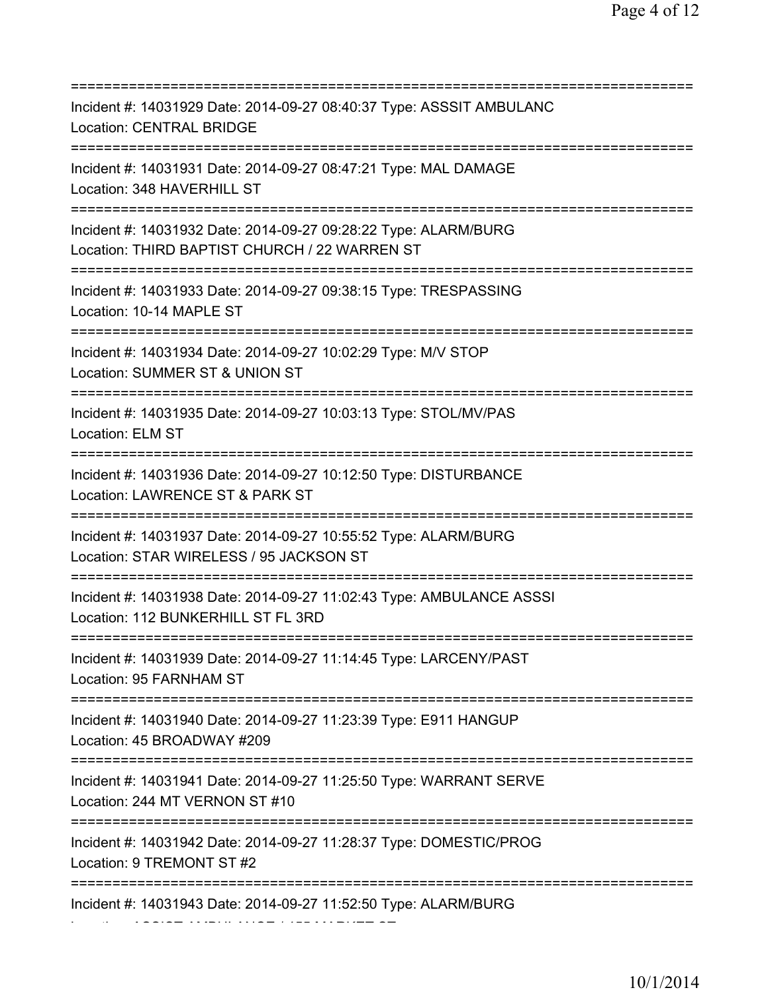| Incident #: 14031929 Date: 2014-09-27 08:40:37 Type: ASSSIT AMBULANC<br><b>Location: CENTRAL BRIDGE</b>                             |
|-------------------------------------------------------------------------------------------------------------------------------------|
| Incident #: 14031931 Date: 2014-09-27 08:47:21 Type: MAL DAMAGE<br>Location: 348 HAVERHILL ST                                       |
| Incident #: 14031932 Date: 2014-09-27 09:28:22 Type: ALARM/BURG<br>Location: THIRD BAPTIST CHURCH / 22 WARREN ST                    |
| Incident #: 14031933 Date: 2014-09-27 09:38:15 Type: TRESPASSING<br>Location: 10-14 MAPLE ST<br>=================================== |
| Incident #: 14031934 Date: 2014-09-27 10:02:29 Type: M/V STOP<br>Location: SUMMER ST & UNION ST                                     |
| Incident #: 14031935 Date: 2014-09-27 10:03:13 Type: STOL/MV/PAS<br>Location: ELM ST                                                |
| Incident #: 14031936 Date: 2014-09-27 10:12:50 Type: DISTURBANCE<br>Location: LAWRENCE ST & PARK ST                                 |
| Incident #: 14031937 Date: 2014-09-27 10:55:52 Type: ALARM/BURG<br>Location: STAR WIRELESS / 95 JACKSON ST                          |
| Incident #: 14031938 Date: 2014-09-27 11:02:43 Type: AMBULANCE ASSSI<br>Location: 112 BUNKERHILL ST FL 3RD                          |
| Incident #: 14031939 Date: 2014-09-27 11:14:45 Type: LARCENY/PAST<br>Location: 95 FARNHAM ST                                        |
| Incident #: 14031940 Date: 2014-09-27 11:23:39 Type: E911 HANGUP<br>Location: 45 BROADWAY #209                                      |
| Incident #: 14031941 Date: 2014-09-27 11:25:50 Type: WARRANT SERVE<br>Location: 244 MT VERNON ST #10                                |
| Incident #: 14031942 Date: 2014-09-27 11:28:37 Type: DOMESTIC/PROG<br>Location: 9 TREMONT ST #2                                     |
| =========================<br>Incident #: 14031943 Date: 2014-09-27 11:52:50 Type: ALARM/BURG                                        |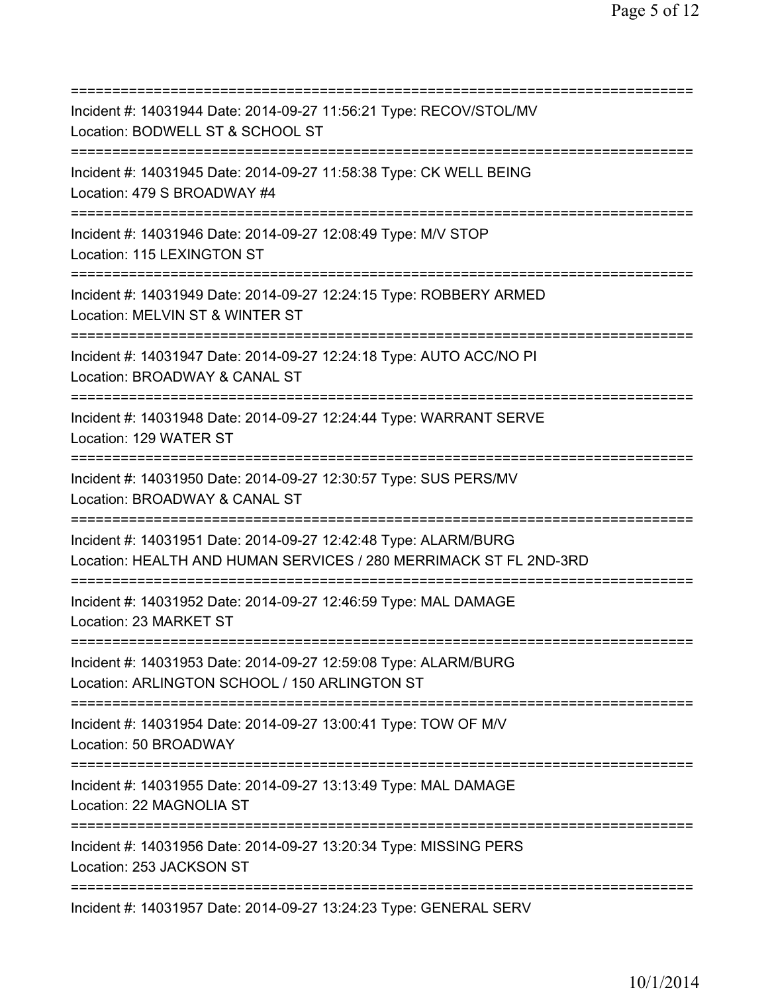=========================================================================== Incident #: 14031944 Date: 2014-09-27 11:56:21 Type: RECOV/STOL/MV Location: BODWELL ST & SCHOOL ST =========================================================================== Incident #: 14031945 Date: 2014-09-27 11:58:38 Type: CK WELL BEING Location: 479 S BROADWAY #4 =========================================================================== Incident #: 14031946 Date: 2014-09-27 12:08:49 Type: M/V STOP Location: 115 LEXINGTON ST =========================================================================== Incident #: 14031949 Date: 2014-09-27 12:24:15 Type: ROBBERY ARMED Location: MELVIN ST & WINTER ST =========================================================================== Incident #: 14031947 Date: 2014-09-27 12:24:18 Type: AUTO ACC/NO PI Location: BROADWAY & CANAL ST =========================================================================== Incident #: 14031948 Date: 2014-09-27 12:24:44 Type: WARRANT SERVE Location: 129 WATER ST =========================================================================== Incident #: 14031950 Date: 2014-09-27 12:30:57 Type: SUS PERS/MV Location: BROADWAY & CANAL ST =========================================================================== Incident #: 14031951 Date: 2014-09-27 12:42:48 Type: ALARM/BURG Location: HEALTH AND HUMAN SERVICES / 280 MERRIMACK ST FL 2ND-3RD =========================================================================== Incident #: 14031952 Date: 2014-09-27 12:46:59 Type: MAL DAMAGE Location: 23 MARKET ST =========================================================================== Incident #: 14031953 Date: 2014-09-27 12:59:08 Type: ALARM/BURG Location: ARLINGTON SCHOOL / 150 ARLINGTON ST =========================================================================== Incident #: 14031954 Date: 2014-09-27 13:00:41 Type: TOW OF M/V Location: 50 BROADWAY =========================================================================== Incident #: 14031955 Date: 2014-09-27 13:13:49 Type: MAL DAMAGE Location: 22 MAGNOLIA ST =========================================================================== Incident #: 14031956 Date: 2014-09-27 13:20:34 Type: MISSING PERS Location: 253 JACKSON ST =========================================================================== Incident #: 14031957 Date: 2014-09-27 13:24:23 Type: GENERAL SERV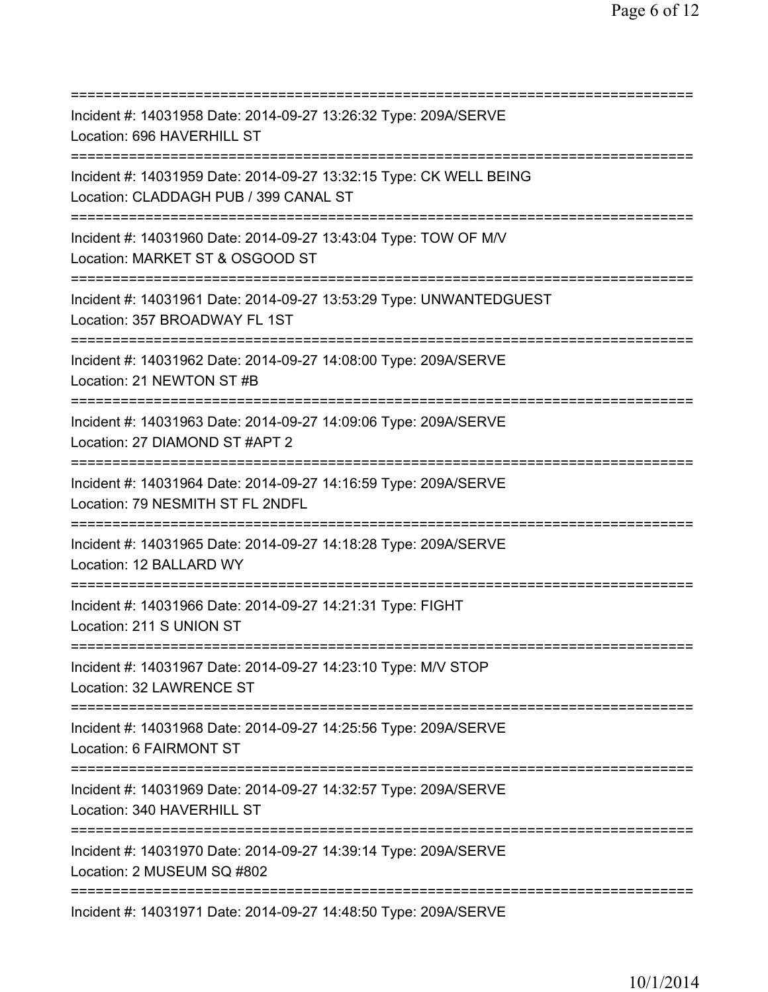| Incident #: 14031958 Date: 2014-09-27 13:26:32 Type: 209A/SERVE<br>Location: 696 HAVERHILL ST                                                |
|----------------------------------------------------------------------------------------------------------------------------------------------|
| Incident #: 14031959 Date: 2014-09-27 13:32:15 Type: CK WELL BEING<br>Location: CLADDAGH PUB / 399 CANAL ST                                  |
| Incident #: 14031960 Date: 2014-09-27 13:43:04 Type: TOW OF M/V<br>Location: MARKET ST & OSGOOD ST                                           |
| Incident #: 14031961 Date: 2014-09-27 13:53:29 Type: UNWANTEDGUEST<br>Location: 357 BROADWAY FL 1ST<br>===================================== |
| Incident #: 14031962 Date: 2014-09-27 14:08:00 Type: 209A/SERVE<br>Location: 21 NEWTON ST #B<br>====================================         |
| Incident #: 14031963 Date: 2014-09-27 14:09:06 Type: 209A/SERVE<br>Location: 27 DIAMOND ST #APT 2<br>=====================================   |
| Incident #: 14031964 Date: 2014-09-27 14:16:59 Type: 209A/SERVE<br>Location: 79 NESMITH ST FL 2NDFL                                          |
| Incident #: 14031965 Date: 2014-09-27 14:18:28 Type: 209A/SERVE<br>Location: 12 BALLARD WY                                                   |
| Incident #: 14031966 Date: 2014-09-27 14:21:31 Type: FIGHT<br>Location: 211 S UNION ST                                                       |
| Incident #: 14031967 Date: 2014-09-27 14:23:10 Type: M/V STOP<br>Location: 32 LAWRENCE ST                                                    |
| Incident #: 14031968 Date: 2014-09-27 14:25:56 Type: 209A/SERVE<br>Location: 6 FAIRMONT ST                                                   |
| Incident #: 14031969 Date: 2014-09-27 14:32:57 Type: 209A/SERVE<br>Location: 340 HAVERHILL ST                                                |
| ==================================<br>Incident #: 14031970 Date: 2014-09-27 14:39:14 Type: 209A/SERVE<br>Location: 2 MUSEUM SQ #802          |
| Incident #: 14031971 Date: 2014-09-27 14:48:50 Type: 209A/SERVE                                                                              |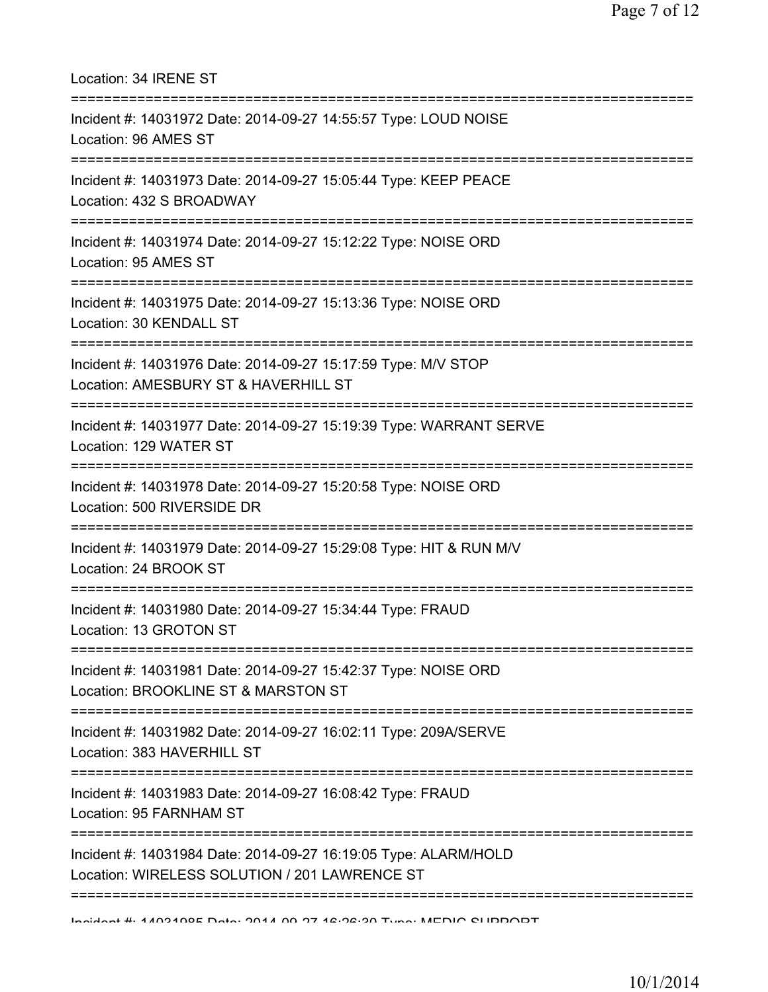| Location: 34 IRENE ST<br>====================================                                                                              |
|--------------------------------------------------------------------------------------------------------------------------------------------|
| Incident #: 14031972 Date: 2014-09-27 14:55:57 Type: LOUD NOISE<br>Location: 96 AMES ST<br>================================                |
| Incident #: 14031973 Date: 2014-09-27 15:05:44 Type: KEEP PEACE<br>Location: 432 S BROADWAY                                                |
| Incident #: 14031974 Date: 2014-09-27 15:12:22 Type: NOISE ORD<br>Location: 95 AMES ST                                                     |
| Incident #: 14031975 Date: 2014-09-27 15:13:36 Type: NOISE ORD<br>Location: 30 KENDALL ST                                                  |
| Incident #: 14031976 Date: 2014-09-27 15:17:59 Type: M/V STOP<br>Location: AMESBURY ST & HAVERHILL ST                                      |
| Incident #: 14031977 Date: 2014-09-27 15:19:39 Type: WARRANT SERVE<br>Location: 129 WATER ST                                               |
| Incident #: 14031978 Date: 2014-09-27 15:20:58 Type: NOISE ORD<br>Location: 500 RIVERSIDE DR                                               |
| Incident #: 14031979 Date: 2014-09-27 15:29:08 Type: HIT & RUN M/V<br>Location: 24 BROOK ST                                                |
| Incident #: 14031980 Date: 2014-09-27 15:34:44 Type: FRAUD<br>Location: 13 GROTON ST<br>;==============================                    |
| Incident #: 14031981 Date: 2014-09-27 15:42:37 Type: NOISE ORD<br>Location: BROOKLINE ST & MARSTON ST                                      |
| Incident #: 14031982 Date: 2014-09-27 16:02:11 Type: 209A/SERVE<br>Location: 383 HAVERHILL ST                                              |
| Incident #: 14031983 Date: 2014-09-27 16:08:42 Type: FRAUD<br>Location: 95 FARNHAM ST                                                      |
| ======================<br>Incident #: 14031984 Date: 2014-09-27 16:19:05 Type: ALARM/HOLD<br>Location: WIRELESS SOLUTION / 201 LAWRENCE ST |
|                                                                                                                                            |

Incident #: 14031985 Date: 2014 09 27 16:26:30 Type: MEDIC SUPPORT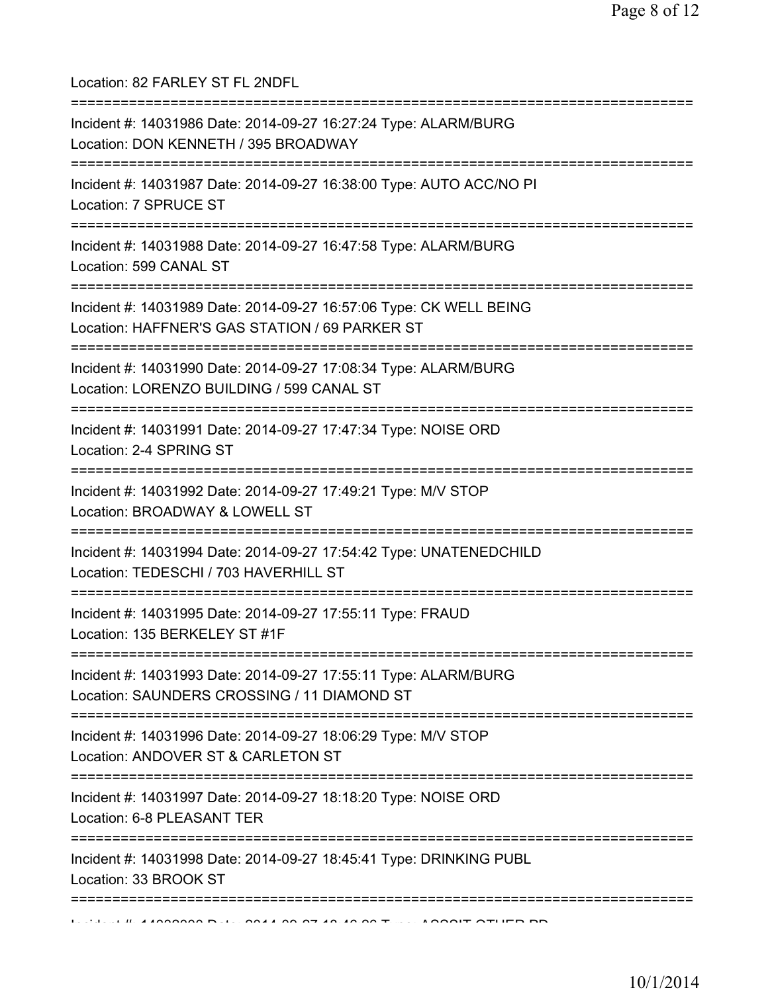| Location: 82 FARLEY ST FL 2NDFL                                                                                                                         |
|---------------------------------------------------------------------------------------------------------------------------------------------------------|
| Incident #: 14031986 Date: 2014-09-27 16:27:24 Type: ALARM/BURG<br>Location: DON KENNETH / 395 BROADWAY                                                 |
| Incident #: 14031987 Date: 2014-09-27 16:38:00 Type: AUTO ACC/NO PI<br>Location: 7 SPRUCE ST<br>======================================                  |
| Incident #: 14031988 Date: 2014-09-27 16:47:58 Type: ALARM/BURG<br>Location: 599 CANAL ST                                                               |
| Incident #: 14031989 Date: 2014-09-27 16:57:06 Type: CK WELL BEING<br>Location: HAFFNER'S GAS STATION / 69 PARKER ST<br>=============================== |
| Incident #: 14031990 Date: 2014-09-27 17:08:34 Type: ALARM/BURG<br>Location: LORENZO BUILDING / 599 CANAL ST                                            |
| Incident #: 14031991 Date: 2014-09-27 17:47:34 Type: NOISE ORD<br>Location: 2-4 SPRING ST                                                               |
| Incident #: 14031992 Date: 2014-09-27 17:49:21 Type: M/V STOP<br>Location: BROADWAY & LOWELL ST<br>===========================                          |
| Incident #: 14031994 Date: 2014-09-27 17:54:42 Type: UNATENEDCHILD<br>Location: TEDESCHI / 703 HAVERHILL ST                                             |
| Incident #: 14031995 Date: 2014-09-27 17:55:11 Type: FRAUD<br>Location: 135 BERKELEY ST #1F                                                             |
| Incident #: 14031993 Date: 2014-09-27 17:55:11 Type: ALARM/BURG<br>Location: SAUNDERS CROSSING / 11 DIAMOND ST                                          |
| Incident #: 14031996 Date: 2014-09-27 18:06:29 Type: M/V STOP<br>Location: ANDOVER ST & CARLETON ST                                                     |
| Incident #: 14031997 Date: 2014-09-27 18:18:20 Type: NOISE ORD<br>Location: 6-8 PLEASANT TER                                                            |
| Incident #: 14031998 Date: 2014-09-27 18:45:41 Type: DRINKING PUBL<br>Location: 33 BROOK ST                                                             |
|                                                                                                                                                         |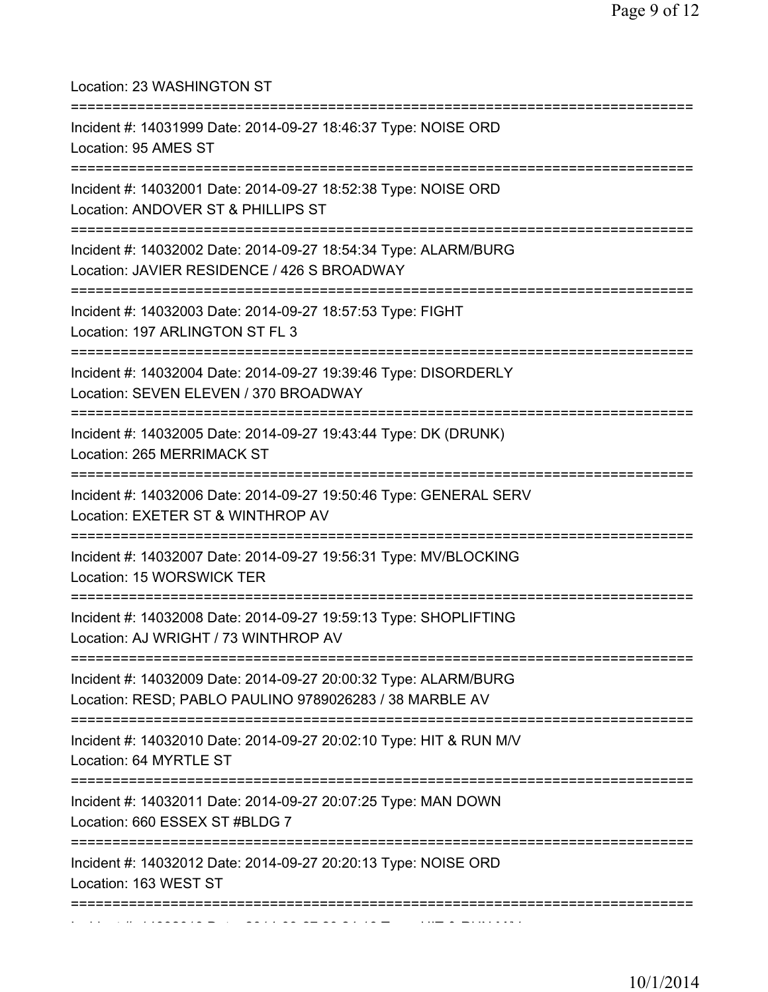| Location: 23 WASHINGTON ST                                                                                                         |
|------------------------------------------------------------------------------------------------------------------------------------|
| Incident #: 14031999 Date: 2014-09-27 18:46:37 Type: NOISE ORD<br>Location: 95 AMES ST                                             |
| Incident #: 14032001 Date: 2014-09-27 18:52:38 Type: NOISE ORD<br>Location: ANDOVER ST & PHILLIPS ST                               |
| Incident #: 14032002 Date: 2014-09-27 18:54:34 Type: ALARM/BURG<br>Location: JAVIER RESIDENCE / 426 S BROADWAY                     |
| Incident #: 14032003 Date: 2014-09-27 18:57:53 Type: FIGHT<br>Location: 197 ARLINGTON ST FL 3                                      |
| Incident #: 14032004 Date: 2014-09-27 19:39:46 Type: DISORDERLY<br>Location: SEVEN ELEVEN / 370 BROADWAY                           |
| Incident #: 14032005 Date: 2014-09-27 19:43:44 Type: DK (DRUNK)<br>Location: 265 MERRIMACK ST<br>:================================ |
| Incident #: 14032006 Date: 2014-09-27 19:50:46 Type: GENERAL SERV<br>Location: EXETER ST & WINTHROP AV                             |
| Incident #: 14032007 Date: 2014-09-27 19:56:31 Type: MV/BLOCKING<br>Location: 15 WORSWICK TER                                      |
| Incident #: 14032008 Date: 2014-09-27 19:59:13 Type: SHOPLIFTING<br>Location: AJ WRIGHT / 73 WINTHROP AV                           |
| Incident #: 14032009 Date: 2014-09-27 20:00:32 Type: ALARM/BURG<br>Location: RESD; PABLO PAULINO 9789026283 / 38 MARBLE AV         |
| Incident #: 14032010 Date: 2014-09-27 20:02:10 Type: HIT & RUN M/V<br>Location: 64 MYRTLE ST                                       |
| Incident #: 14032011 Date: 2014-09-27 20:07:25 Type: MAN DOWN<br>Location: 660 ESSEX ST #BLDG 7                                    |
| Incident #: 14032012 Date: 2014-09-27 20:20:13 Type: NOISE ORD<br>Location: 163 WEST ST                                            |
|                                                                                                                                    |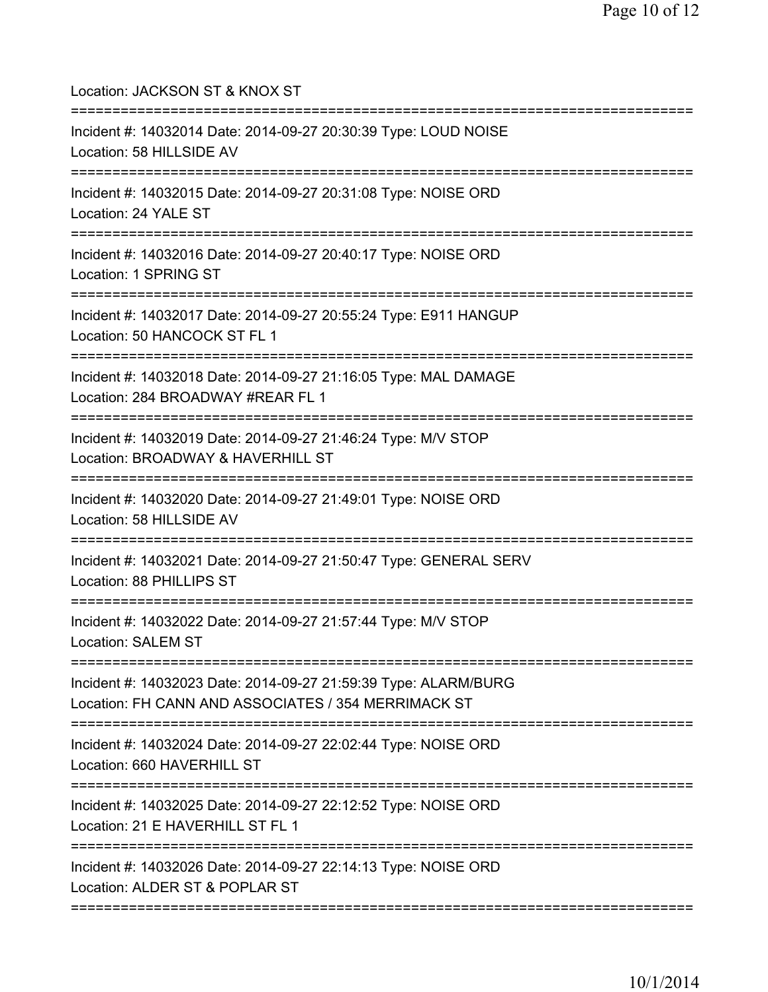| Location: JACKSON ST & KNOX ST                                                                                                                             |
|------------------------------------------------------------------------------------------------------------------------------------------------------------|
| Incident #: 14032014 Date: 2014-09-27 20:30:39 Type: LOUD NOISE<br>Location: 58 HILLSIDE AV                                                                |
| Incident #: 14032015 Date: 2014-09-27 20:31:08 Type: NOISE ORD<br>Location: 24 YALE ST<br>===================================                              |
| Incident #: 14032016 Date: 2014-09-27 20:40:17 Type: NOISE ORD<br>Location: 1 SPRING ST<br>===================================                             |
| Incident #: 14032017 Date: 2014-09-27 20:55:24 Type: E911 HANGUP<br>Location: 50 HANCOCK ST FL 1                                                           |
| Incident #: 14032018 Date: 2014-09-27 21:16:05 Type: MAL DAMAGE<br>Location: 284 BROADWAY #REAR FL 1                                                       |
| Incident #: 14032019 Date: 2014-09-27 21:46:24 Type: M/V STOP<br>Location: BROADWAY & HAVERHILL ST                                                         |
| Incident #: 14032020 Date: 2014-09-27 21:49:01 Type: NOISE ORD<br>Location: 58 HILLSIDE AV                                                                 |
| Incident #: 14032021 Date: 2014-09-27 21:50:47 Type: GENERAL SERV<br>Location: 88 PHILLIPS ST                                                              |
| Incident #: 14032022 Date: 2014-09-27 21:57:44 Type: M/V STOP<br>Location: SALEM ST                                                                        |
| ================================<br>Incident #: 14032023 Date: 2014-09-27 21:59:39 Type: ALARM/BURG<br>Location: FH CANN AND ASSOCIATES / 354 MERRIMACK ST |
| Incident #: 14032024 Date: 2014-09-27 22:02:44 Type: NOISE ORD<br>Location: 660 HAVERHILL ST                                                               |
| Incident #: 14032025 Date: 2014-09-27 22:12:52 Type: NOISE ORD<br>Location: 21 E HAVERHILL ST FL 1                                                         |
| Incident #: 14032026 Date: 2014-09-27 22:14:13 Type: NOISE ORD<br>Location: ALDER ST & POPLAR ST                                                           |
|                                                                                                                                                            |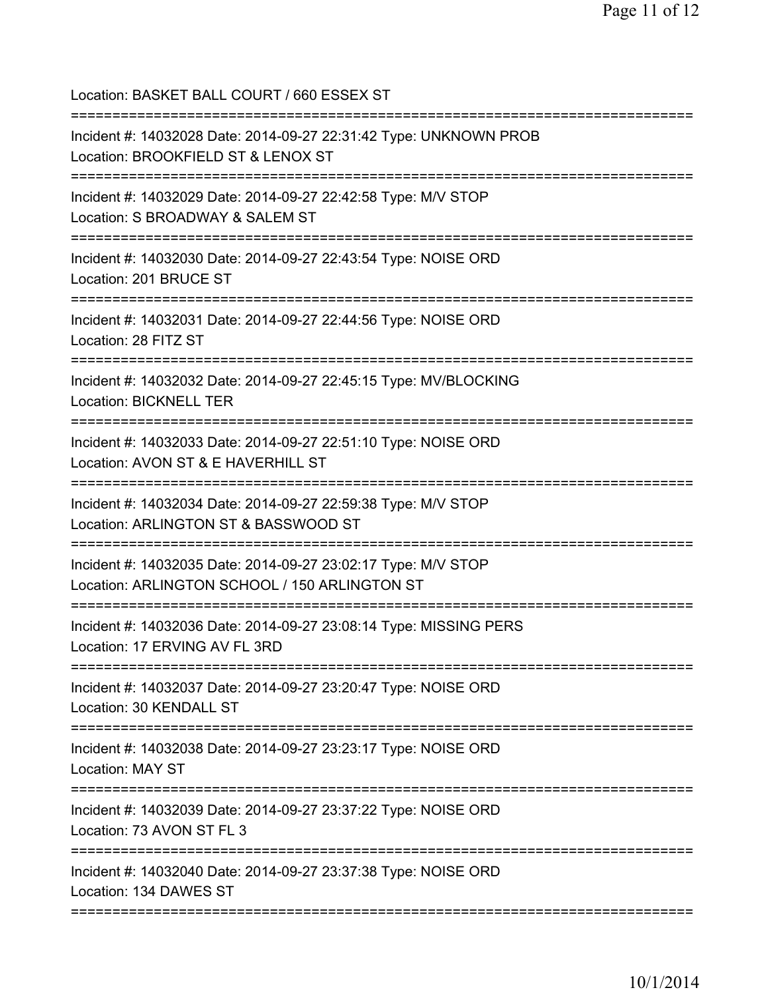| Location: BASKET BALL COURT / 660 ESSEX ST<br>======================================                                                            |
|-------------------------------------------------------------------------------------------------------------------------------------------------|
| Incident #: 14032028 Date: 2014-09-27 22:31:42 Type: UNKNOWN PROB<br>Location: BROOKFIELD ST & LENOX ST<br>==================================== |
| Incident #: 14032029 Date: 2014-09-27 22:42:58 Type: M/V STOP<br>Location: S BROADWAY & SALEM ST                                                |
| Incident #: 14032030 Date: 2014-09-27 22:43:54 Type: NOISE ORD<br>Location: 201 BRUCE ST                                                        |
| Incident #: 14032031 Date: 2014-09-27 22:44:56 Type: NOISE ORD<br>Location: 28 FITZ ST                                                          |
| Incident #: 14032032 Date: 2014-09-27 22:45:15 Type: MV/BLOCKING<br><b>Location: BICKNELL TER</b>                                               |
| Incident #: 14032033 Date: 2014-09-27 22:51:10 Type: NOISE ORD<br>Location: AVON ST & E HAVERHILL ST                                            |
| Incident #: 14032034 Date: 2014-09-27 22:59:38 Type: M/V STOP<br>Location: ARLINGTON ST & BASSWOOD ST<br>============================           |
| Incident #: 14032035 Date: 2014-09-27 23:02:17 Type: M/V STOP<br>Location: ARLINGTON SCHOOL / 150 ARLINGTON ST                                  |
| Incident #: 14032036 Date: 2014-09-27 23:08:14 Type: MISSING PERS<br>Location: 17 ERVING AV FL 3RD                                              |
| Incident #: 14032037 Date: 2014-09-27 23:20:47 Type: NOISE ORD<br>Location: 30 KENDALL ST<br>=========================                          |
| Incident #: 14032038 Date: 2014-09-27 23:23:17 Type: NOISE ORD<br>Location: MAY ST                                                              |
| Incident #: 14032039 Date: 2014-09-27 23:37:22 Type: NOISE ORD<br>Location: 73 AVON ST FL 3                                                     |
| Incident #: 14032040 Date: 2014-09-27 23:37:38 Type: NOISE ORD<br>Location: 134 DAWES ST                                                        |
|                                                                                                                                                 |